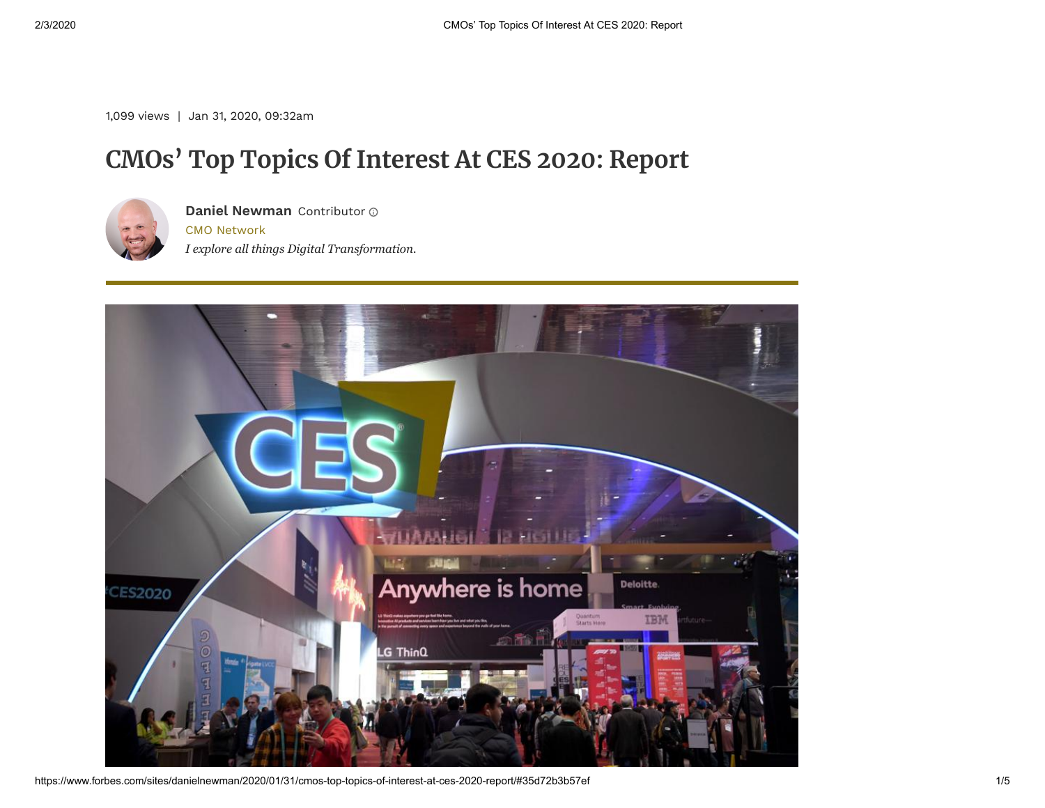1,099 views | Jan 31, 2020, 09:32am

## **CMOs' Top Topics Of Interest At CES 2020: Report**



CMO [Network](https://www.forbes.com/cmo-network) *I explore all things Digital Transformation.* **Daniel [Newman](https://www.forbes.com/)** Contributor



https://www.forbes.com/sites/danielnewman/2020/01/31/cmos-top-topics-of-interest-at-ces-2020-report/#35d72b3b57ef 1/5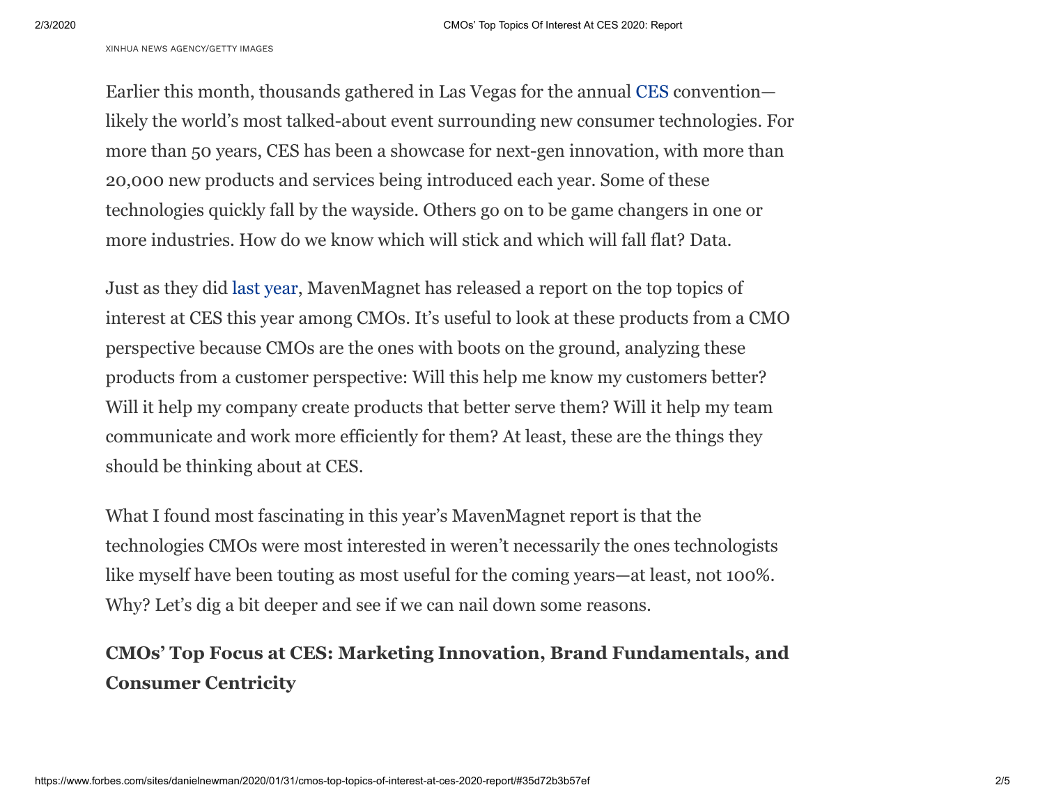XINHUA NEWS AGENCY/GETTY IMAGES

Earlier this month, thousands gathered in Las Vegas for the annual [CES](http://www.ces.tech/) convention likely the world's most talked-about event surrounding new consumer technologies. For more than 50 years, CES has been a showcase for next-gen innovation, with more than 20,000 new products and services being introduced each year. Some of these technologies quickly fall by the wayside. Others go on to be game changers in one or more industries. How do we know which will stick and which will fall flat? Data.

Just as they did [last year,](https://www.forbes.com/sites/jenniferrooney/2019/01/16/the-topics-and-trends-cmos-were-most-interested-in-and-talking-about-at-ces-2019-study/#390ed176745e) MavenMagnet has released a report on the top topics of interest at CES this year among CMOs. It's useful to look at these products from a CMO perspective because CMOs are the ones with boots on the ground, analyzing these products from a customer perspective: Will this help me know my customers better? Will it help my company create products that better serve them? Will it help my team communicate and work more efficiently for them? At least, these are the things they should be thinking about at CES.

What I found most fascinating in this year's MavenMagnet report is that the technologies CMOs were most interested in weren't necessarily the ones technologists like myself have been touting as most useful for the coming years—at least, not 100%. Why? Let's dig a bit deeper and see if we can nail down some reasons.

## **CMOs' Top Focus at CES: Marketing Innovation, Brand Fundamentals, and Consumer Centricity**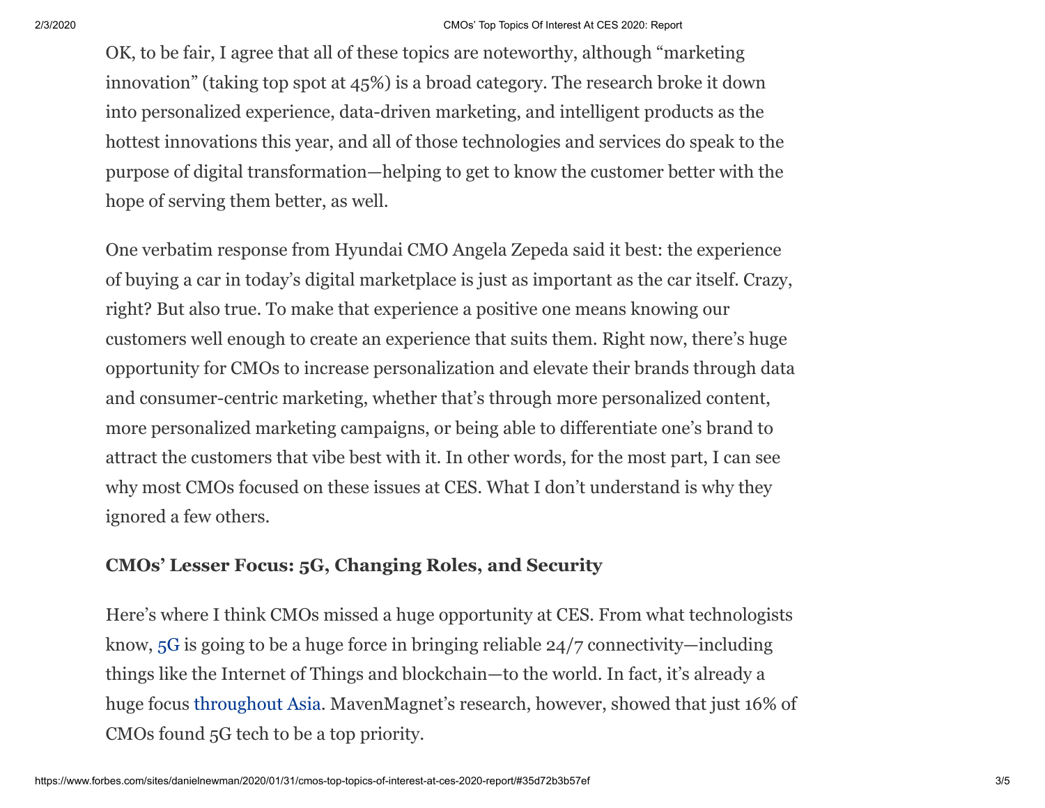2/3/2020 CMOs' Top Topics Of Interest At CES 2020: Report

OK, to be fair, I agree that all of these topics are noteworthy, although "marketing innovation" (taking top spot at 45%) is a broad category. The research broke it down into personalized experience, data-driven marketing, and intelligent products as the hottest innovations this year, and all of those technologies and services do speak to the purpose of digital transformation—helping to get to know the customer better with the hope of serving them better, as well.

One verbatim response from Hyundai CMO Angela Zepeda said it best: the experience of buying a car in today's digital marketplace is just as important as the car itself. Crazy, right? But also true. To make that experience a positive one means knowing our customers well enough to create an experience that suits them. Right now, there's huge opportunity for CMOs to increase personalization and elevate their brands through data and consumer-centric marketing, whether that's through more personalized content, more personalized marketing campaigns, or being able to differentiate one's brand to attract the customers that vibe best with it. In other words, for the most part, I can see why most CMOs focused on these issues at CES. What I don't understand is why they ignored a few others.

## **CMOs' Lesser Focus: 5G, Changing Roles, and Security**

Here's where I think CMOs missed a huge opportunity at CES. From what technologists know, [5G](https://futurumresearch.com/dell-technologiess-5g-vision-embraces-shifting-network-architectures/) is going to be a huge force in bringing reliable 24/7 connectivity—including things like the Internet of Things and blockchain—to the world. In fact, it's already a huge focus [throughout Asia](https://futurumresearch.com/5g-is-coming-all-eyes-on-china/). MavenMagnet's research, however, showed that just 16% of CMOs found 5G tech to be a top priority.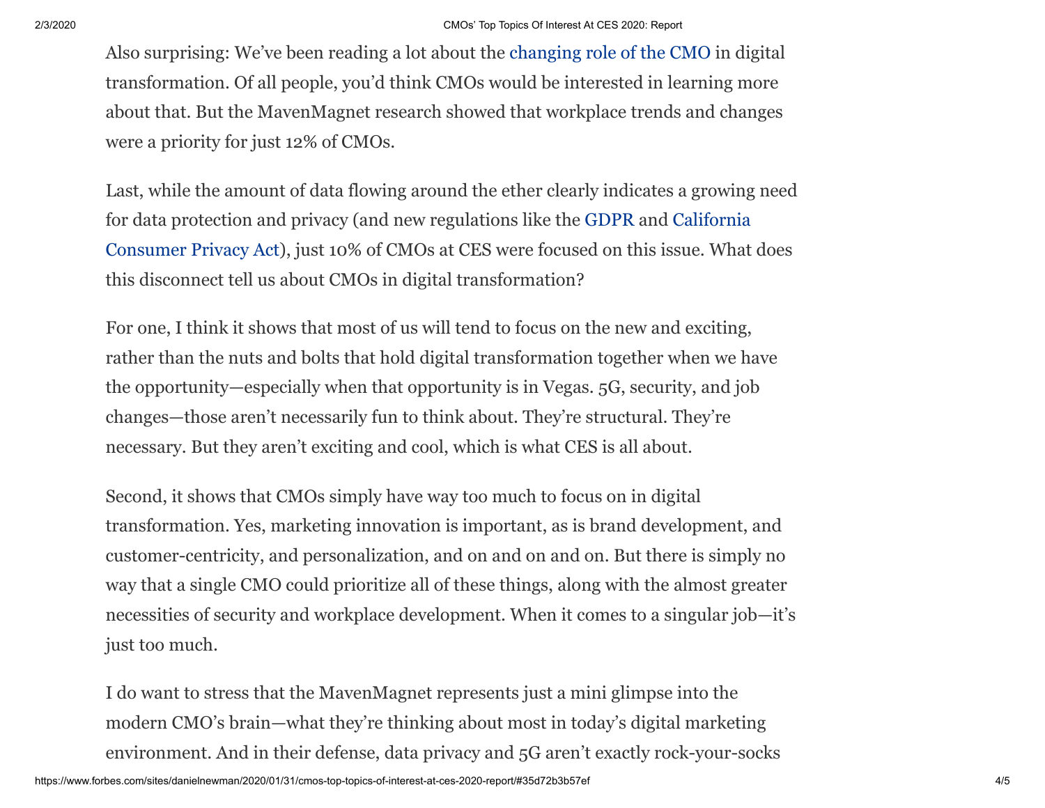2/3/2020 CMOs' Top Topics Of Interest At CES 2020: Report

Also surprising: We've been reading a lot about the [changing role of the CMO](https://futurumresearch.com/are-cdos-replacing-cmos/) in digital transformation. Of all people, you'd think CMOs would be interested in learning more about that. But the MavenMagnet research showed that workplace trends and changes were a priority for just 12% of CMOs.

Last, while the amount of data flowing around the ether clearly indicates a growing need [for data protection and privacy \(and new regulations like the](https://oag.ca.gov/privacy/ccpa) [GDP](https://gdpr-info.eu/)[R and California](https://oag.ca.gov/privacy/ccpa) Consumer Privacy Act), just 10% of CMOs at CES were focused on this issue. What does this disconnect tell us about CMOs in digital transformation?

For one, I think it shows that most of us will tend to focus on the new and exciting, rather than the nuts and bolts that hold digital transformation together when we have the opportunity—especially when that opportunity is in Vegas. 5G, security, and job changes—those aren't necessarily fun to think about. They're structural. They're necessary. But they aren't exciting and cool, which is what CES is all about.

Second, it shows that CMOs simply have way too much to focus on in digital transformation. Yes, marketing innovation is important, as is brand development, and customer-centricity, and personalization, and on and on and on. But there is simply no way that a single CMO could prioritize all of these things, along with the almost greater necessities of security and workplace development. When it comes to a singular job—it's just too much.

I do want to stress that the MavenMagnet represents just a mini glimpse into the modern CMO's brain—what they're thinking about most in today's digital marketing environment. And in their defense, data privacy and 5G aren't exactly rock-your-socks